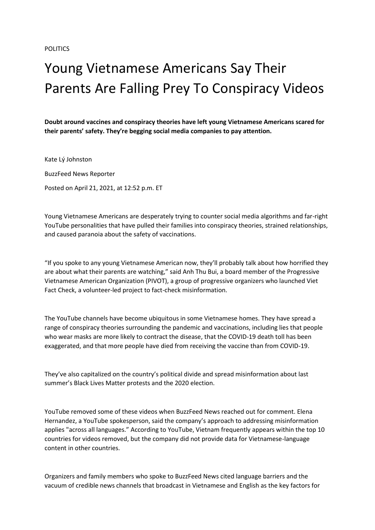## Young Vietnamese Americans Say Their Parents Are Falling Prey To Conspiracy Videos

**Doubt around vaccines and conspiracy theories have left young Vietnamese Americans scared for their parents' safety. They're begging social media companies to pay attention.**

Kate Lý Johnston BuzzFeed News Reporter Posted on April 21, 2021, at 12:52 p.m. ET

Young Vietnamese Americans are desperately trying to counter social media algorithms and far-right YouTube personalities that have pulled their families into conspiracy theories, strained relationships, and caused paranoia about the safety of vaccinations.

"If you spoke to any young Vietnamese American now, they'll probably talk about how horrified they are about what their parents are watching," said Anh Thu Bui, a board member of the Progressive Vietnamese American Organization (PIVOT), a group of progressive organizers who launched Viet Fact Check, a volunteer-led project to fact-check misinformation.

The YouTube channels have become ubiquitous in some Vietnamese homes. They have spread a range of conspiracy theories surrounding the pandemic and vaccinations, including lies that people who wear masks are more likely to contract the disease, that the COVID-19 death toll has been exaggerated, and that more people have died from receiving the vaccine than from COVID-19.

They've also capitalized on the country's political divide and spread misinformation about last summer's Black Lives Matter protests and the 2020 election.

YouTube removed some of these videos when BuzzFeed News reached out for comment. Elena Hernandez, a YouTube spokesperson, said the company's approach to addressing misinformation applies "across all languages." According to YouTube, Vietnam frequently appears within the top 10 countries for videos removed, but the company did not provide data for Vietnamese-language content in other countries.

Organizers and family members who spoke to BuzzFeed News cited language barriers and the vacuum of credible news channels that broadcast in Vietnamese and English as the key factors for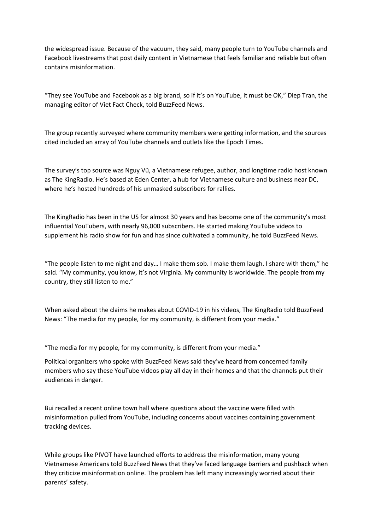the widespread issue. Because of the vacuum, they said, many people turn to YouTube channels and Facebook livestreams that post daily content in Vietnamese that feels familiar and reliable but often contains misinformation.

"They see YouTube and Facebook as a big brand, so if it's on YouTube, it must be OK," Diep Tran, the managing editor of Viet Fact Check, told BuzzFeed News.

The group recently surveyed where community members were getting information, and the sources cited included an array of YouTube channels and outlets like the Epoch Times.

The survey's top source was Nguỵ Vũ, a Vietnamese refugee, author, and longtime radio host known as The KingRadio. He's based at Eden Center, a hub for Vietnamese culture and business near DC, where he's hosted hundreds of his unmasked subscribers for rallies.

The KingRadio has been in the US for almost 30 years and has become one of the community's most influential YouTubers, with nearly 96,000 subscribers. He started making YouTube videos to supplement his radio show for fun and has since cultivated a community, he told BuzzFeed News.

"The people listen to me night and day… I make them sob. I make them laugh. I share with them," he said. "My community, you know, it's not Virginia. My community is worldwide. The people from my country, they still listen to me."

When asked about the claims he makes about COVID-19 in his videos, The KingRadio told BuzzFeed News: "The media for my people, for my community, is different from your media."

"The media for my people, for my community, is different from your media."

Political organizers who spoke with BuzzFeed News said they've heard from concerned family members who say these YouTube videos play all day in their homes and that the channels put their audiences in danger.

Bui recalled a recent online town hall where questions about the vaccine were filled with misinformation pulled from YouTube, including concerns about vaccines containing government tracking devices.

While groups like PIVOT have launched efforts to address the misinformation, many young Vietnamese Americans told BuzzFeed News that they've faced language barriers and pushback when they criticize misinformation online. The problem has left many increasingly worried about their parents' safety.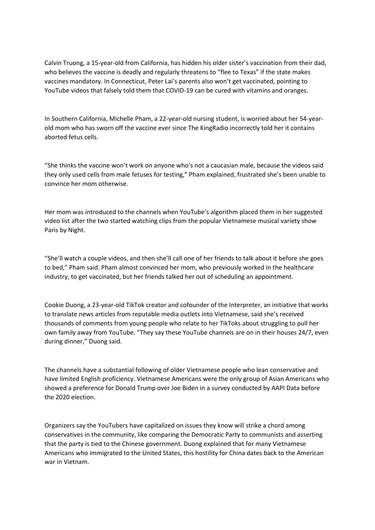Calvin Truong, a 15-year-old from California, has hidden his older sister's vaccination from their dad, who believes the vaccine is deadly and regularly threatens to "flee to Texas" if the state makes vaccines mandatory. In Connecticut, Peter Lai's parents also won't get vaccinated, pointing to YouTube videos that falsely told them that COVID-19 can be cured with vitamins and oranges.

In Southern California, Michelle Pham, a 22-year-old nursing student, is worried about her 54-yearold mom who has sworn off the vaccine ever since The KingRadio incorrectly told her it contains aborted fetus cells.

"She thinks the vaccine won't work on anyone who's not a caucasian male, because the videos said they only used cells from male fetuses for testing," Pham explained, frustrated she's been unable to convince her mom otherwise.

Her mom was introduced to the channels when YouTube's algorithm placed them in her suggested video list after the two started watching clips from the popular Vietnamese musical variety show Paris by Night.

"She'll watch a couple videos, and then she'll call one of her friends to talk about it before she goes to bed," Pham said. Pham almost convinced her mom, who previously worked in the healthcare industry, to get vaccinated, but her friends talked her out of scheduling an appointment.

Cookie Duong, a 23-year-old TikTok creator and cofounder of the Interpreter, an initiative that works to translate news articles from reputable media outlets into Vietnamese, said she's received thousands of comments from young people who relate to her TikToks about struggling to pull her own family away from YouTube. "They say these YouTube channels are on in their houses 24/7, even during dinner," Duong said.

The channels have a substantial following of older Vietnamese people who lean conservative and have limited English proficiency. Vietnamese Americans were the only group of Asian Americans who showed a preference for Donald Trump over Joe Biden in a survey conducted by AAPI Data before the 2020 election.

Organizers say the YouTubers have capitalized on issues they know will strike a chord among conservatives in the community, like comparing the Democratic Party to communists and asserting that the party is tied to the Chinese government. Duong explained that for many Vietnamese Americans who immigrated to the United States, this hostility for China dates back to the American war in Vietnam.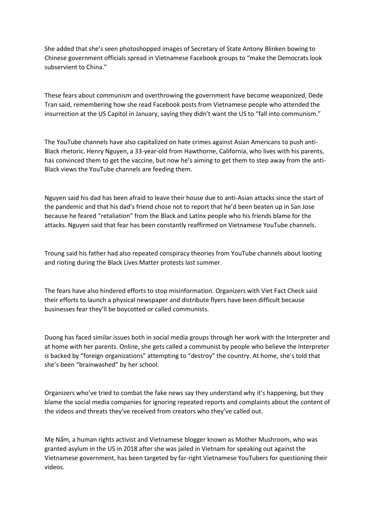She added that she's seen photoshopped images of Secretary of State Antony Blinken bowing to Chinese government officials spread in Vietnamese Facebook groups to "make the Democrats look subservient to China."

These fears about communism and overthrowing the government have become weaponized, Dede Tran said, remembering how she read Facebook posts from Vietnamese people who attended the insurrection at the US Capitol in January, saying they didn't want the US to "fall into communism."

The YouTube channels have also capitalized on hate crimes against Asian Americans to push anti-Black rhetoric. Henry Nguyen, a 33-year-old from Hawthorne, California, who lives with his parents, has convinced them to get the vaccine, but now he's aiming to get them to step away from the anti-Black views the YouTube channels are feeding them.

Nguyen said his dad has been afraid to leave their house due to anti-Asian attacks since the start of the pandemic and that his dad's friend chose not to report that he'd been beaten up in San Jose because he feared "retaliation" from the Black and Latinx people who his friends blame for the attacks. Nguyen said that fear has been constantly reaffirmed on Vietnamese YouTube channels.

Troung said his father had also repeated conspiracy theories from YouTube channels about looting and rioting during the Black Lives Matter protests last summer.

The fears have also hindered efforts to stop misinformation. Organizers with Viet Fact Check said their efforts to launch a physical newspaper and distribute flyers have been difficult because businesses fear they'll be boycotted or called communists.

Duong has faced similar issues both in social media groups through her work with the Interpreter and at home with her parents. Online, she gets called a communist by people who believe the Interpreter is backed by "foreign organizations" attempting to "destroy" the country. At home, she's told that she's been "brainwashed" by her school.

Organizers who've tried to combat the fake news say they understand why it's happening, but they blame the social media companies for ignoring repeated reports and complaints about the content of the videos and threats they've received from creators who they've called out.

Mẹ Nấm, a human rights activist and Vietnamese blogger known as Mother Mushroom, who was granted asylum in the US in 2018 after she was jailed in Vietnam for speaking out against the Vietnamese government, has been targeted by far-right Vietnamese YouTubers for questioning their videos.